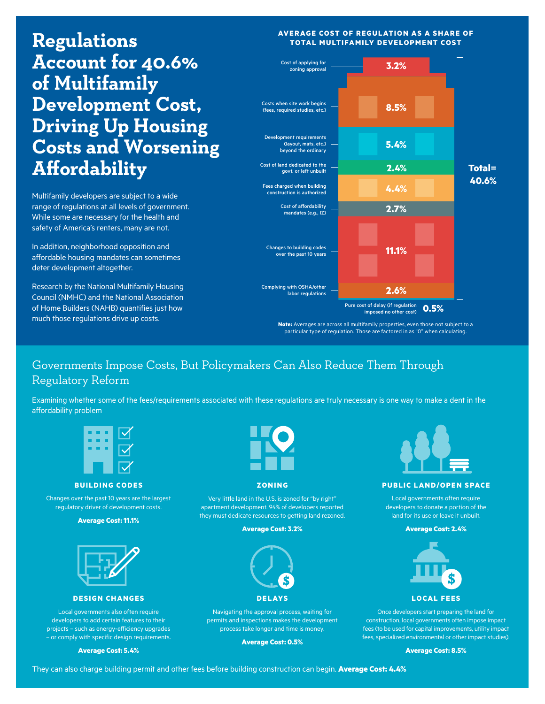**Regulations Account for 40.6% of Multifamily Development Cost, Driving Up Housing Costs and Worsening Affordability** 

Multifamily developers are subject to a wide range of regulations at all levels of government. While some are necessary for the health and safety of America's renters, many are not.

In addition, neighborhood opposition and affordable housing mandates can sometimes deter development altogether.

Research by the National Multifamily Housing Council (NMHC) and the National Association of Home Builders (NAHB) quantifies just how much those regulations drive up costs.

### **AVERAGE COST OF REGULATION AS A SHARE OF TOTAL MULTIFAMILY DEVELOPMENT COST**



**Note:** Averages are across all multifamily properties, even those not subject to a particular type of regulation. Those are factored in as "0" when calculating.

# Governments Impose Costs, But Policymakers Can Also Reduce Them Through Regulatory Reform

Examining whether some of the fees/requirements associated with these regulations are truly necessary is one way to make a dent in the affordability problem



**BUILDING CODES**

Changes over the past 10 years are the largest regulatory driver of development costs.

**Average Cost: 11.1%**



#### **DESIGN CHANGES**

Local governments also often require developers to add certain features to their projects – such as energy-efficiency upgrades – or comply with specific design requirements.

**Average Cost: 5.4%** 



#### **ZONING**

Very little land in the U.S. is zoned for "by right" apartment development. 94% of developers reported they must dedicate resources to getting land rezoned.

#### **Average Cost: 3.2%**



Navigating the approval process, waiting for permits and inspections makes the development process take longer and time is money.

**Average Cost: 0.5%**



#### **PUBLIC LAND/OPEN SPACE**

Local governments often require developers to donate a portion of the land for its use or leave it unbuilt.

#### **Average Cost: 2.4%**



## **LOCAL FEES**

Once developers start preparing the land for construction, local governments often impose impact fees (to be used for capital improvements, utility impact fees, specialized environmental or other impact studies).

**Average Cost: 8.5%**

They can also charge building permit and other fees before building construction can begin. **Average Cost: 4.4%**